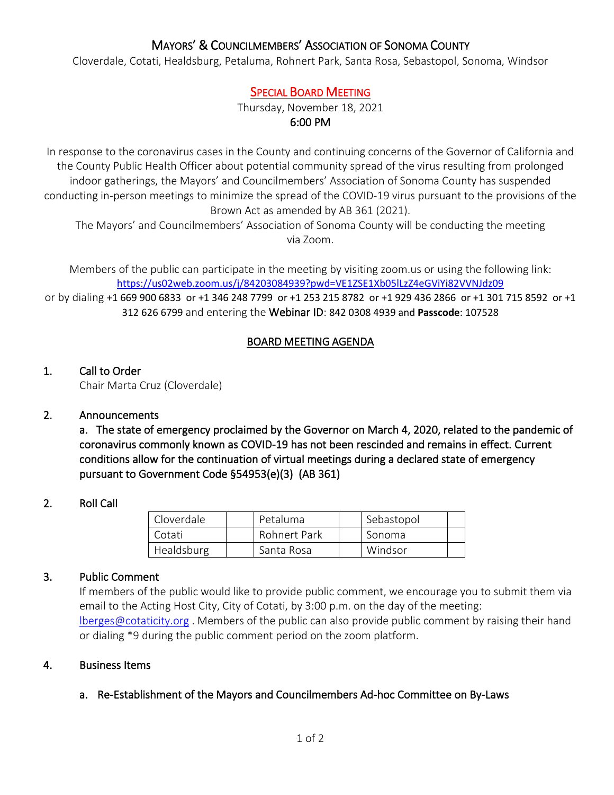# MAYORS' & COUNCILMEMBERS' ASSOCIATION OF SONOMA COUNTY

Cloverdale, Cotati, Healdsburg, Petaluma, Rohnert Park, Santa Rosa, Sebastopol, Sonoma, Windsor

## SPECIAL BOARD MEETING

Thursday, November 18, 2021 6:00 PM

In response to the coronavirus cases in the County and continuing concerns of the Governor of California and the County Public Health Officer about potential community spread of the virus resulting from prolonged indoor gatherings, the Mayors' and Councilmembers' Association of Sonoma County has suspended conducting in-person meetings to minimize the spread of the COVID-19 virus pursuant to the provisions of the Brown Act as amended by AB 361 (2021).

The Mayors' and Councilmembers' Association of Sonoma County will be conducting the meeting via Zoom.

Members of the public can participate in the meeting by visiting zoom.us or using the following link: <https://us02web.zoom.us/j/84203084939?pwd=VE1ZSE1Xb05lLzZ4eGViYi82VVNJdz09>

or by dialing +1 669 900 6833 or +1 346 248 7799 or +1 253 215 8782 or +1 929 436 2866 or +1 301 715 8592 or +1 312 626 6799 and entering the Webinar ID: 842 0308 4939 and **Passcode**: 107528

### BOARD MEETING AGENDA

### 1. Call to Order

Chair Marta Cruz (Cloverdale)

### 2. Announcements

a. The state of emergency proclaimed by the Governor on March 4, 2020, related to the pandemic of coronavirus commonly known as COVID-19 has not been rescinded and remains in effect. Current conditions allow for the continuation of virtual meetings during a declared state of emergency pursuant to Government Code §54953(e)(3) (AB 361)

### 2. Roll Call

| Cloverdale | Petaluma     | Sebastopol |  |
|------------|--------------|------------|--|
| Cotati     | Rohnert Park | Sonoma     |  |
| Healdsburg | Santa Rosa   | Windsor    |  |

#### 3. Public Comment

If members of the public would like to provide public comment, we encourage you to submit them via email to the Acting Host City, City of Cotati, by 3:00 p.m. on the day of the meeting: [lberges@cotaticity.org](mailto:lberges@cotaticity.org) . Members of the public can also provide public comment by raising their hand or dialing \*9 during the public comment period on the zoom platform.

#### 4. Business Items

#### a. Re-Establishment of the Mayors and Councilmembers Ad-hoc Committee on By-Laws